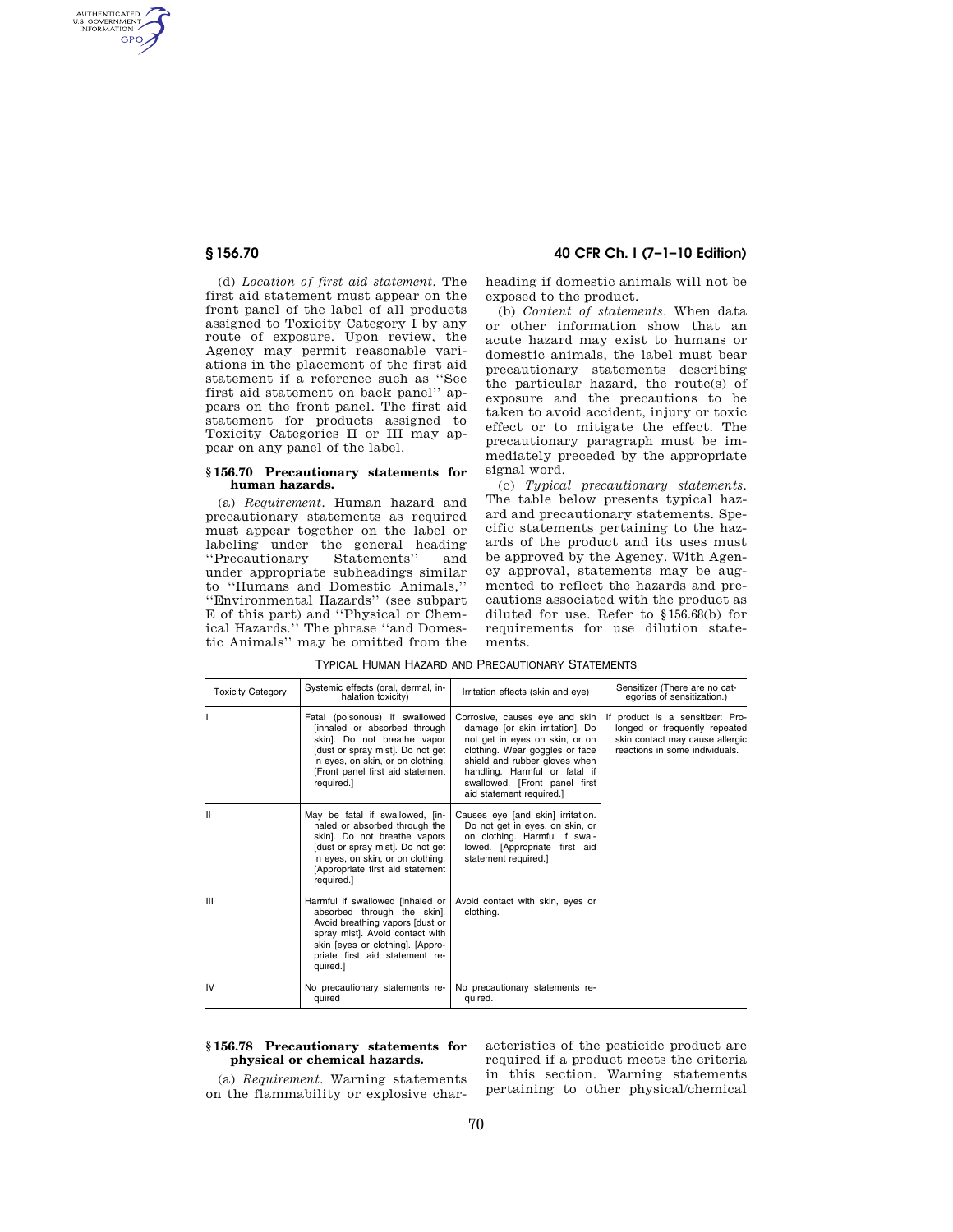AUTHENTICATED<br>U.S. GOVERNMENT<br>INFORMATION **GPO** 

> (d) *Location of first aid statement.* The first aid statement must appear on the front panel of the label of all products assigned to Toxicity Category I by any route of exposure. Upon review, the Agency may permit reasonable variations in the placement of the first aid statement if a reference such as ''See first aid statement on back panel'' appears on the front panel. The first aid statement for products assigned to Toxicity Categories II or III may appear on any panel of the label.

#### **§ 156.70 Precautionary statements for human hazards.**

(a) *Requirement.* Human hazard and precautionary statements as required must appear together on the label or labeling under the general heading ''Precautionary Statements'' and under appropriate subheadings similar to ''Humans and Domestic Animals,'' ''Environmental Hazards'' (see subpart E of this part) and ''Physical or Chemical Hazards.'' The phrase ''and Domestic Animals'' may be omitted from the

**§ 156.70 40 CFR Ch. I (7–1–10 Edition)** 

heading if domestic animals will not be exposed to the product.

(b) *Content of statements.* When data or other information show that an acute hazard may exist to humans or domestic animals, the label must bear precautionary statements describing the particular hazard, the route(s) of exposure and the precautions to be taken to avoid accident, injury or toxic effect or to mitigate the effect. The precautionary paragraph must be immediately preceded by the appropriate signal word.

(c) *Typical precautionary statements.*  The table below presents typical hazard and precautionary statements. Specific statements pertaining to the hazards of the product and its uses must be approved by the Agency. With Agency approval, statements may be augmented to reflect the hazards and precautions associated with the product as diluted for use. Refer to §156.68(b) for requirements for use dilution statements.

| <b>Toxicity Category</b> | Systemic effects (oral, dermal, in-<br>halation toxicity)                                                                                                                                                                   | Irritation effects (skin and eye)                                                                                                                                                                                                                                    | Sensitizer (There are no cat-<br>egories of sensitization.)                                                                            |
|--------------------------|-----------------------------------------------------------------------------------------------------------------------------------------------------------------------------------------------------------------------------|----------------------------------------------------------------------------------------------------------------------------------------------------------------------------------------------------------------------------------------------------------------------|----------------------------------------------------------------------------------------------------------------------------------------|
|                          | Fatal (poisonous) if swallowed<br>[inhaled or absorbed through<br>skin]. Do not breathe vapor<br>[dust or spray mist]. Do not get<br>in eyes, on skin, or on clothing.<br>[Front panel first aid statement<br>required.]    | Corrosive, causes eye and skin<br>damage [or skin irritation]. Do<br>not get in eyes on skin, or on<br>clothing. Wear goggles or face<br>shield and rubber gloves when<br>handling. Harmful or fatal if<br>swallowed. [Front panel first<br>aid statement required.] | If product is a sensitizer: Pro-<br>longed or frequently repeated<br>skin contact may cause allergic<br>reactions in some individuals. |
| н                        | May be fatal if swallowed, [in-<br>haled or absorbed through the<br>skin]. Do not breathe vapors<br>[dust or spray mist]. Do not get<br>in eyes, on skin, or on clothing.<br>[Appropriate first aid statement<br>required.] | Causes eye [and skin] irritation.<br>Do not get in eyes, on skin, or<br>on clothing. Harmful if swal-<br>lowed. [Appropriate first aid<br>statement required.]                                                                                                       |                                                                                                                                        |
| III                      | Harmful if swallowed linhaled or<br>absorbed through the skin].<br>Avoid breathing vapors [dust or<br>spray mist]. Avoid contact with<br>skin [eyes or clothing]. [Appro-<br>priate first aid statement re-<br>quired.]     | Avoid contact with skin, eyes or<br>clothing.                                                                                                                                                                                                                        |                                                                                                                                        |
| IV                       | No precautionary statements re-<br>quired                                                                                                                                                                                   | No precautionary statements re-<br>quired.                                                                                                                                                                                                                           |                                                                                                                                        |

TYPICAL HUMAN HAZARD AND PRECAUTIONARY STATEMENTS

## **§ 156.78 Precautionary statements for physical or chemical hazards.**

(a) *Requirement.* Warning statements on the flammability or explosive characteristics of the pesticide product are required if a product meets the criteria in this section. Warning statements pertaining to other physical/chemical